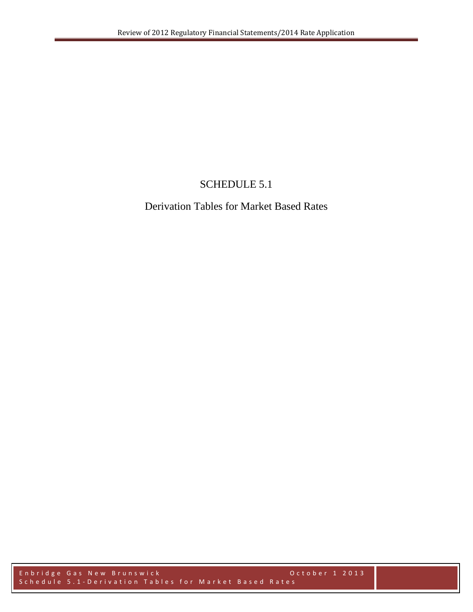## SCHEDULE 5.1

## Derivation Tables for Market Based Rates